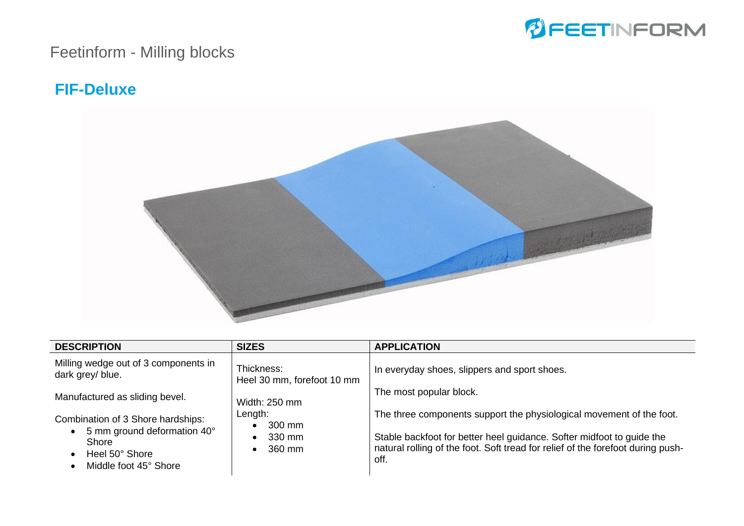

#### **FIF-Deluxe**



| <b>DESCRIPTION</b>                                                                                                                                      | <b>SIZES</b>                                                                                                                                                     | <b>APPLICATION</b>                                                   |
|---------------------------------------------------------------------------------------------------------------------------------------------------------|------------------------------------------------------------------------------------------------------------------------------------------------------------------|----------------------------------------------------------------------|
| Milling wedge out of 3 components in<br>dark grey/ blue.                                                                                                | Thickness:<br>Heel 30 mm, forefoot 10 mm                                                                                                                         | In everyday shoes, slippers and sport shoes.                         |
| Manufactured as sliding bevel.                                                                                                                          | Width: 250 mm                                                                                                                                                    | The most popular block.                                              |
| Combination of 3 Shore hardships:                                                                                                                       | Length:<br>300 mm<br>$\bullet$                                                                                                                                   | The three components support the physiological movement of the foot. |
| 5 mm ground deformation 40°<br>$\bullet$<br>330 mm<br>$\bullet$<br>Shore<br>360 mm<br>$\bullet$<br>Heel 50° Shore<br>$\bullet$<br>Middle foot 45° Shore | Stable backfoot for better heel guidance. Softer midfoot to guide the<br>natural rolling of the foot. Soft tread for relief of the forefoot during push-<br>off. |                                                                      |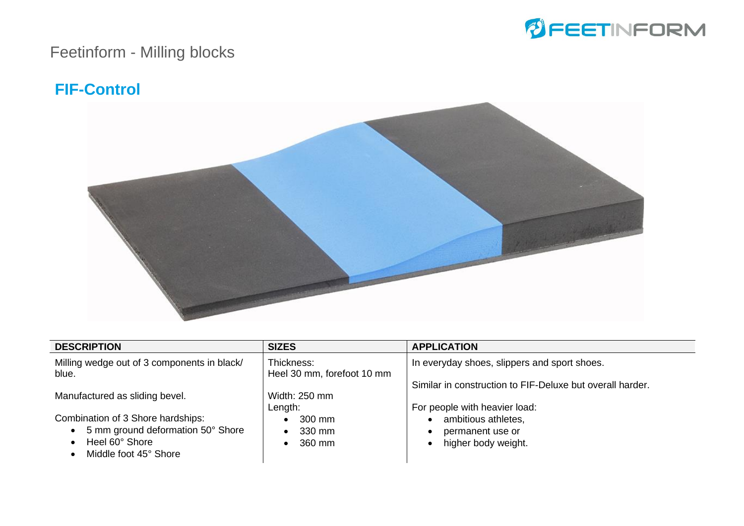

#### **FIF-Control**



| <b>DESCRIPTION</b>                                   | <b>SIZES</b>                             | <b>APPLICATION</b>                                        |
|------------------------------------------------------|------------------------------------------|-----------------------------------------------------------|
| Milling wedge out of 3 components in black/<br>blue. | Thickness:<br>Heel 30 mm, forefoot 10 mm | In everyday shoes, slippers and sport shoes.              |
|                                                      |                                          | Similar in construction to FIF-Deluxe but overall harder. |
| Manufactured as sliding bevel.                       | Width: 250 mm<br>Length:                 | For people with heavier load:                             |
| Combination of 3 Shore hardships:                    | 300 mm                                   | ambitious athletes,                                       |
| 5 mm ground deformation 50° Shore<br>$\bullet$       | 330 mm                                   | permanent use or                                          |
| Heel 60° Shore<br>Middle foot 45° Shore              | 360 mm                                   | higher body weight.                                       |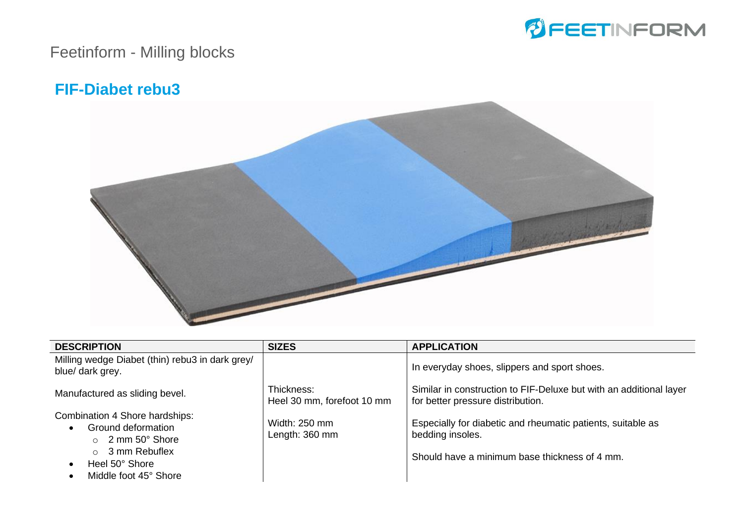

#### **FIF-Diabet rebu3**



| <b>DESCRIPTION</b>                                                                                                                                          | <b>SIZES</b>                             | <b>APPLICATION</b>                                                                                                               |
|-------------------------------------------------------------------------------------------------------------------------------------------------------------|------------------------------------------|----------------------------------------------------------------------------------------------------------------------------------|
| Milling wedge Diabet (thin) rebu3 in dark grey/<br>blue/ dark grey.                                                                                         |                                          | In everyday shoes, slippers and sport shoes.                                                                                     |
| Manufactured as sliding bevel.                                                                                                                              | Thickness:<br>Heel 30 mm, forefoot 10 mm | Similar in construction to FIF-Deluxe but with an additional layer<br>for better pressure distribution.                          |
| Combination 4 Shore hardships:<br>Ground deformation<br>$\circ$ 2 mm 50 $\degree$ Shore<br>$\circ$ 3 mm Rebuflex<br>Heel 50° Shore<br>Middle foot 45° Shore | Width: 250 mm<br>Length: 360 mm          | Especially for diabetic and rheumatic patients, suitable as<br>bedding insoles.<br>Should have a minimum base thickness of 4 mm. |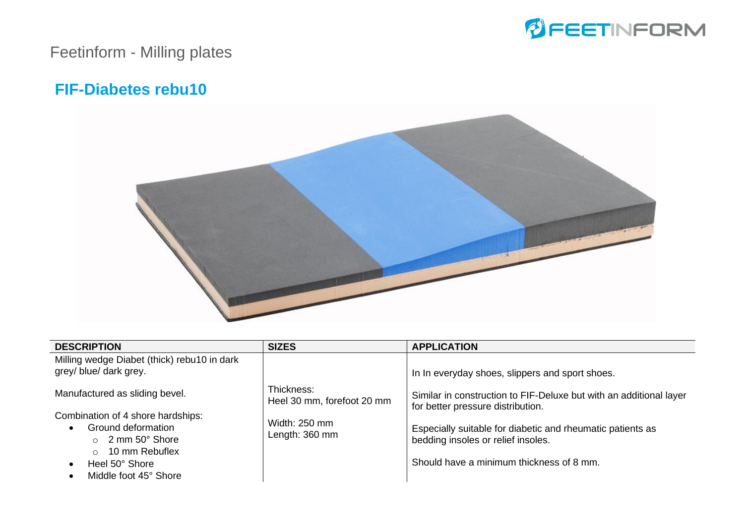

### Feetinform - Milling plates

#### **FIF-Diabetes rebu10**



| <b>DESCRIPTION</b>                                                                                                                                                | <b>SIZES</b>                             | <b>APPLICATION</b>                                                                                                                           |
|-------------------------------------------------------------------------------------------------------------------------------------------------------------------|------------------------------------------|----------------------------------------------------------------------------------------------------------------------------------------------|
| Milling wedge Diabet (thick) rebu10 in dark<br>grey/ blue/ dark grey.                                                                                             |                                          | In In everyday shoes, slippers and sport shoes.                                                                                              |
| Manufactured as sliding bevel.                                                                                                                                    | Thickness:<br>Heel 30 mm, forefoot 20 mm | Similar in construction to FIF-Deluxe but with an additional layer<br>for better pressure distribution.                                      |
| Combination of 4 shore hardships:<br>Ground deformation<br>$\circ$ 2 mm 50 $\degree$ Shore<br>10 mm Rebuflex<br>$\cap$<br>Heel 50° Shore<br>Middle foot 45° Shore | Width: 250 mm<br>Length: 360 mm          | Especially suitable for diabetic and rheumatic patients as<br>bedding insoles or relief insoles.<br>Should have a minimum thickness of 8 mm. |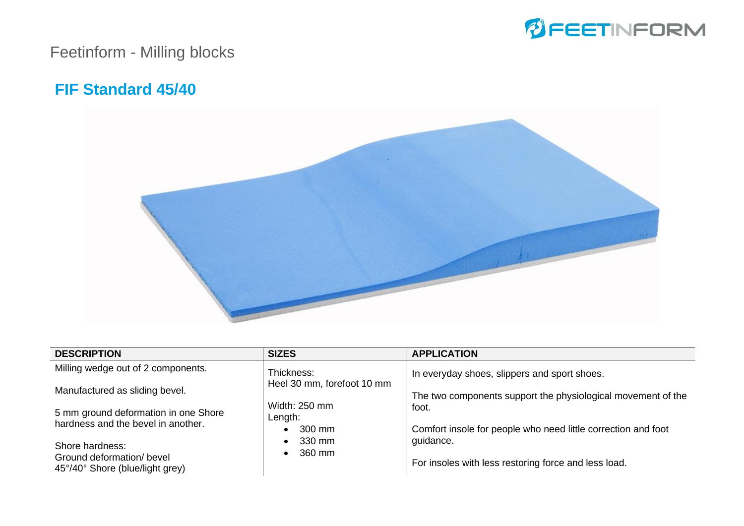

#### **FIF Standard 45/40**



| <b>DESCRIPTION</b>                                                         | <b>SIZES</b>                       | <b>APPLICATION</b>                                                     |
|----------------------------------------------------------------------------|------------------------------------|------------------------------------------------------------------------|
| Milling wedge out of 2 components.                                         | Thickness:                         | In everyday shoes, slippers and sport shoes.                           |
| Manufactured as sliding bevel.                                             | Heel 30 mm, forefoot 10 mm         | The two components support the physiological movement of the           |
| 5 mm ground deformation in one Shore<br>hardness and the bevel in another. | Width: 250 mm<br>Length:<br>300 mm | foot.<br>Comfort insole for people who need little correction and foot |
| Shore hardness:<br>Ground deformation/ bevel                               | 330 mm<br>360 mm                   | guidance.                                                              |
| 45°/40° Shore (blue/light grey)                                            |                                    | For insoles with less restoring force and less load.                   |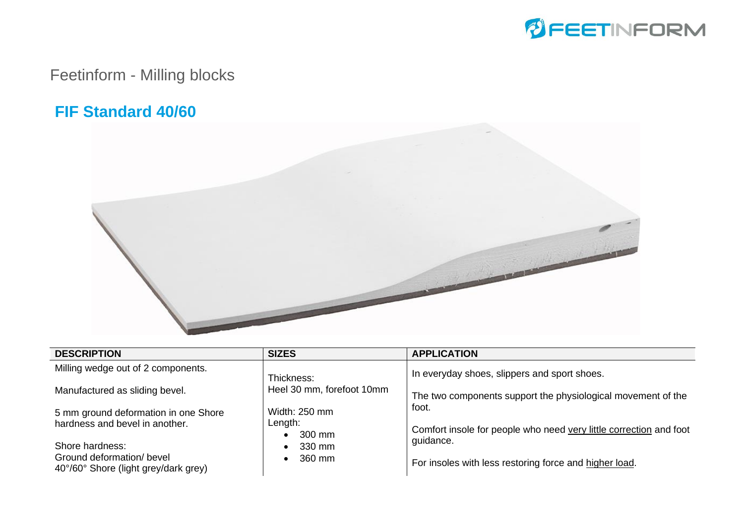

#### **FIF Standard 40/60**



| <b>DESCRIPTION</b>                                                | <b>SIZES</b>              | <b>APPLICATION</b>                                                 |
|-------------------------------------------------------------------|---------------------------|--------------------------------------------------------------------|
| Milling wedge out of 2 components.                                | Thickness:                | In everyday shoes, slippers and sport shoes.                       |
| Manufactured as sliding bevel.                                    | Heel 30 mm, forefoot 10mm | The two components support the physiological movement of the       |
| 5 mm ground deformation in one Shore                              | Width: 250 mm             | foot.                                                              |
| hardness and bevel in another.                                    | Length:<br>300 mm         | Comfort insole for people who need very little correction and foot |
| Shore hardness:                                                   | 330 mm                    | quidance.                                                          |
| Ground deformation/ bevel<br>40°/60° Shore (light grey/dark grey) | 360 mm                    | For insoles with less restoring force and higher load.             |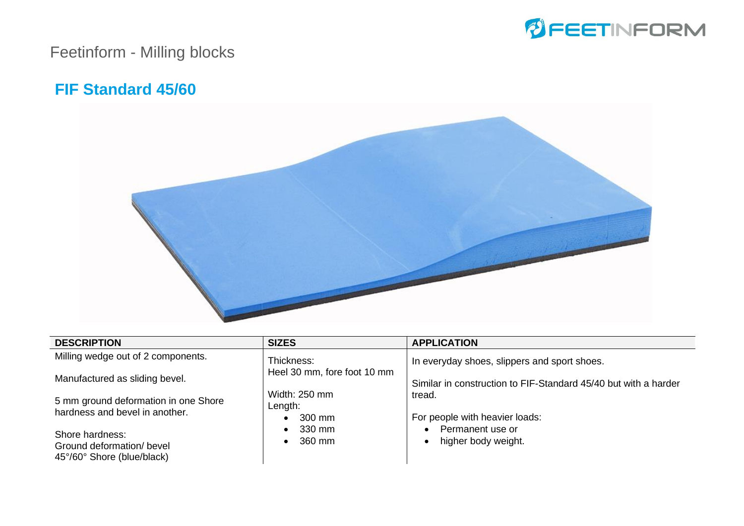

#### **FIF Standard 45/60**



| <b>DESCRIPTION</b>                                                         | <b>SIZES</b>                                    | <b>APPLICATION</b>                                                |
|----------------------------------------------------------------------------|-------------------------------------------------|-------------------------------------------------------------------|
| Milling wedge out of 2 components.                                         | Thickness:                                      | In everyday shoes, slippers and sport shoes.                      |
| Manufactured as sliding bevel.                                             | Heel 30 mm, fore foot 10 mm                     | Similar in construction to FIF-Standard 45/40 but with a harder   |
| 5 mm ground deformation in one Shore<br>hardness and bevel in another.     | Width: 250 mm<br>Length:<br>300 mm<br>$\bullet$ | tread.<br>For people with heavier loads:                          |
| Shore hardness:<br>Ground deformation/ bevel<br>45°/60° Shore (blue/black) | 330 mm<br>360 mm                                | Permanent use or<br>$\bullet$<br>higher body weight.<br>$\bullet$ |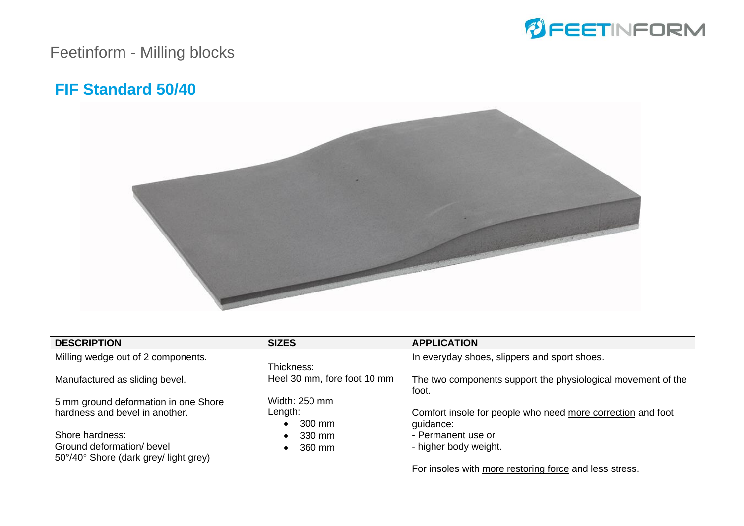

#### **FIF Standard 50/40**



| <b>SIZES</b>  | <b>APPLICATION</b>                                            |
|---------------|---------------------------------------------------------------|
|               | In everyday shoes, slippers and sport shoes.                  |
|               |                                                               |
|               | The two components support the physiological movement of the  |
|               | foot.                                                         |
| Width: 250 mm |                                                               |
| Length:       | Comfort insole for people who need more correction and foot   |
| 300 mm        | guidance:                                                     |
| $\bullet$     | - Permanent use or                                            |
|               | - higher body weight.                                         |
|               |                                                               |
|               | For insoles with more restoring force and less stress.        |
|               | Thickness:<br>Heel 30 mm, fore foot 10 mm<br>330 mm<br>360 mm |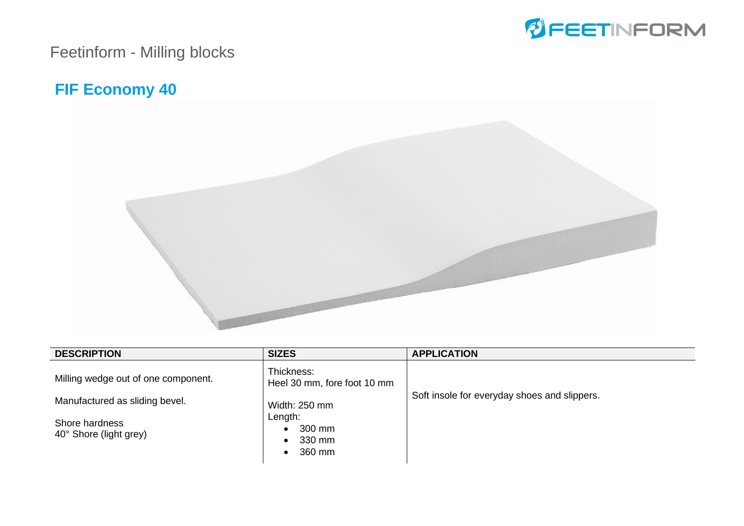

#### **FIF Economy 40**



| <b>DESCRIPTION</b>                       | <b>SIZES</b>                              | <b>APPLICATION</b>                           |
|------------------------------------------|-------------------------------------------|----------------------------------------------|
| Milling wedge out of one component.      | Thickness:<br>Heel 30 mm, fore foot 10 mm |                                              |
| Manufactured as sliding bevel.           | Width: 250 mm                             | Soft insole for everyday shoes and slippers. |
| Shore hardness<br>40° Shore (light grey) | Length:<br>300 mm<br>330 mm<br>360 mm     |                                              |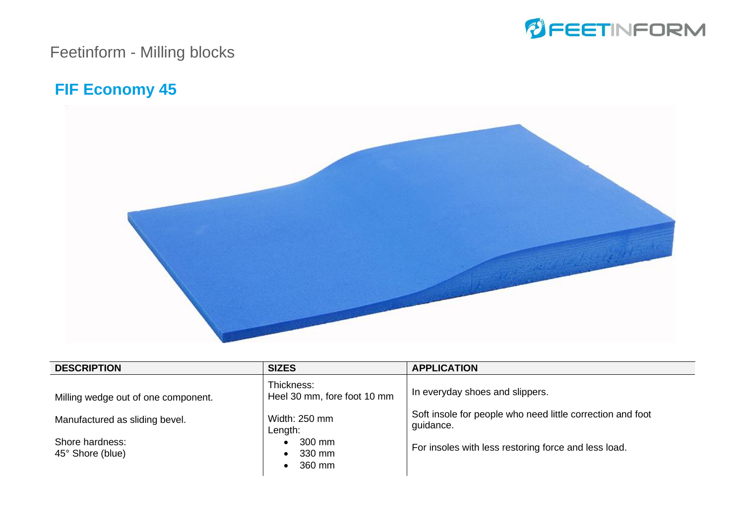

#### **FIF Economy 45**



| <b>DESCRIPTION</b>                  | <b>SIZES</b>                              | <b>APPLICATION</b>                                                      |
|-------------------------------------|-------------------------------------------|-------------------------------------------------------------------------|
| Milling wedge out of one component. | Thickness:<br>Heel 30 mm, fore foot 10 mm | In everyday shoes and slippers.                                         |
| Manufactured as sliding bevel.      | Width: 250 mm<br>Length:                  | Soft insole for people who need little correction and foot<br>guidance. |
| Shore hardness:<br>45° Shore (blue) | 300 mm<br>330 mm<br>$\bullet$<br>360 mm   | For insoles with less restoring force and less load.                    |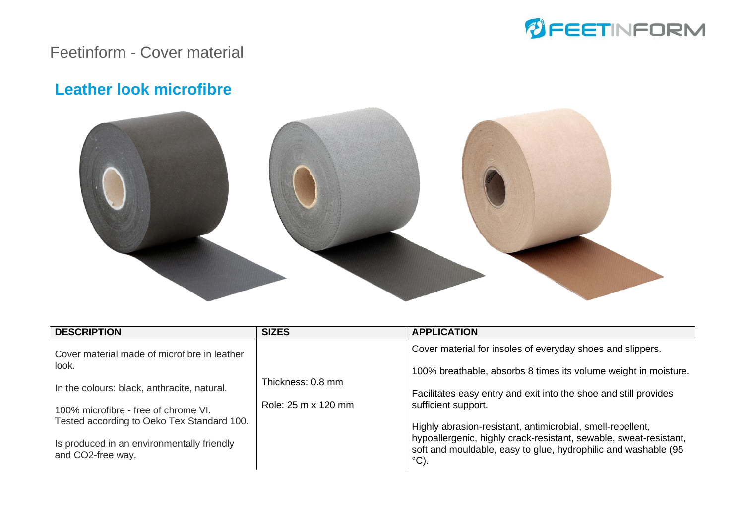

#### Feetinform - Cover material

#### **Leather look microfibre**



| <b>DESCRIPTION</b>                                                                                                                                                                                                                                            | <b>SIZES</b>                             | <b>APPLICATION</b>                                                                                                                                                                                                                                                                                                                                                                                                                                  |
|---------------------------------------------------------------------------------------------------------------------------------------------------------------------------------------------------------------------------------------------------------------|------------------------------------------|-----------------------------------------------------------------------------------------------------------------------------------------------------------------------------------------------------------------------------------------------------------------------------------------------------------------------------------------------------------------------------------------------------------------------------------------------------|
| Cover material made of microfibre in leather<br>look.<br>In the colours: black, anthracite, natural.<br>100% microfibre - free of chrome VI.<br>Tested according to Oeko Tex Standard 100.<br>Is produced in an environmentally friendly<br>and CO2-free way. | Thickness: 0.8 mm<br>Role: 25 m x 120 mm | Cover material for insoles of everyday shoes and slippers.<br>100% breathable, absorbs 8 times its volume weight in moisture.<br>Facilitates easy entry and exit into the shoe and still provides<br>sufficient support.<br>Highly abrasion-resistant, antimicrobial, smell-repellent,<br>hypoallergenic, highly crack-resistant, sewable, sweat-resistant,<br>soft and mouldable, easy to glue, hydrophilic and washable (95<br>$\rm ^{\circ}C$ ). |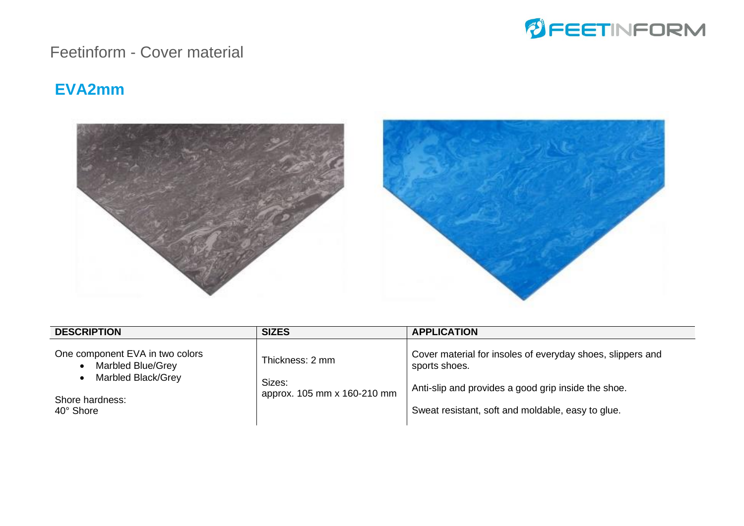

#### Feetinform - Cover material

#### **EVA2mm**



| <b>DESCRIPTION</b>                                                                                                      | <b>SIZES</b>                                             | <b>APPLICATION</b>                                                                                                                                                                      |
|-------------------------------------------------------------------------------------------------------------------------|----------------------------------------------------------|-----------------------------------------------------------------------------------------------------------------------------------------------------------------------------------------|
| One component EVA in two colors<br>Marbled Blue/Grey<br>$\bullet$<br>Marbled Black/Grey<br>Shore hardness:<br>40° Shore | Thickness: 2 mm<br>Sizes:<br>approx. 105 mm x 160-210 mm | Cover material for insoles of everyday shoes, slippers and<br>sports shoes.<br>Anti-slip and provides a good grip inside the shoe.<br>Sweat resistant, soft and moldable, easy to glue. |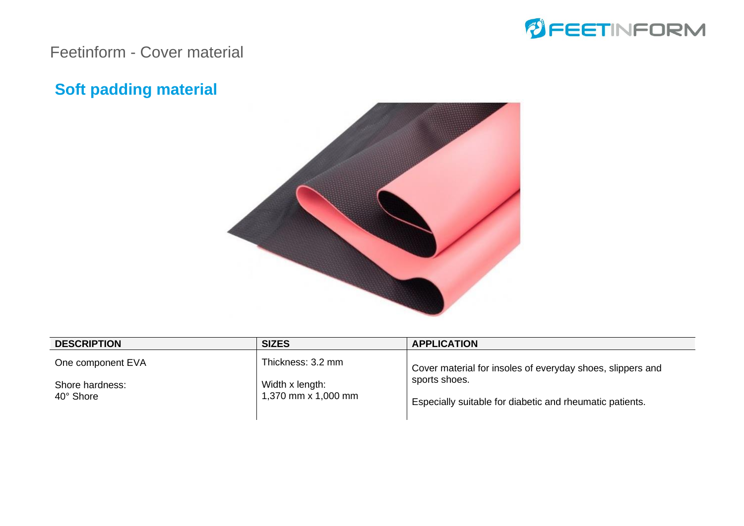

#### Feetinform - Cover material

### **Soft padding material**



| <b>DESCRIPTION</b> | <b>SIZES</b>                           | <b>APPLICATION</b>                                         |  |
|--------------------|----------------------------------------|------------------------------------------------------------|--|
| One component EVA  | Thickness: 3.2 mm                      | Cover material for insoles of everyday shoes, slippers and |  |
| Shore hardness:    | Width x length:<br>1,370 mm x 1,000 mm | sports shoes.                                              |  |
| 40° Shore          |                                        | Especially suitable for diabetic and rheumatic patients.   |  |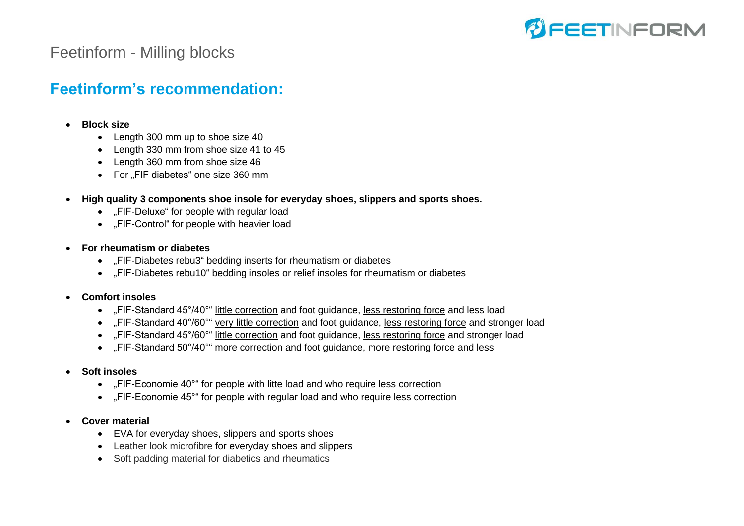

#### **Feetinform's recommendation:**

- **Block size**
	- Length 300 mm up to shoe size 40
	- Length 330 mm from shoe size 41 to 45
	- Length 360 mm from shoe size 46
	- For "FIF diabetes" one size 360 mm
- **High quality 3 components shoe insole for everyday shoes, slippers and sports shoes.**
	- "FIF-Deluxe" for people with regular load
	- "FIF-Control" for people with heavier load
- **For rheumatism or diabetes** 
	- "FIF-Diabetes rebu3" bedding inserts for rheumatism or diabetes
	- "FIF-Diabetes rebu10" bedding insoles or relief insoles for rheumatism or diabetes
- **Comfort insoles**
	- "FIF-Standard 45°/40°" little correction and foot guidance, less restoring force and less load
	- FIF-Standard 40°/60°" very little correction and foot quidance, less restoring force and stronger load
	- FIF-Standard 45°/60°" little correction and foot guidance, less restoring force and stronger load
	- "FIF-Standard 50°/40°" more correction and foot guidance, more restoring force and less
- **Soft insoles**
	- "FIF-Economie 40°" for people with litte load and who require less correction
	- "FIF-Economie 45°" for people with regular load and who require less correction
- **Cover material**
	- EVA for everyday shoes, slippers and sports shoes
	- Leather look microfibre for everyday shoes and slippers
	- Soft padding material for diabetics and rheumatics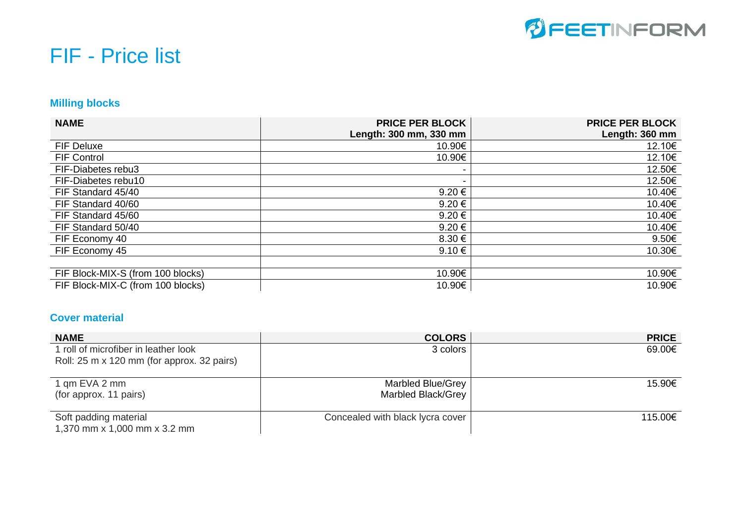

# FIF - Price list

#### **Milling blocks**

| <b>NAME</b>                       | <b>PRICE PER BLOCK</b><br>Length: 300 mm, 330 mm | <b>PRICE PER BLOCK</b><br>Length: 360 mm |
|-----------------------------------|--------------------------------------------------|------------------------------------------|
| FIF Deluxe                        | 10.90€                                           | 12.10€                                   |
| <b>FIF Control</b>                | 10.90€                                           | 12.10€                                   |
| FIF-Diabetes rebu3                |                                                  | 12.50€                                   |
| FIF-Diabetes rebu10               |                                                  | 12.50€                                   |
| FIF Standard 45/40                | 9.20€                                            | 10.40€                                   |
| FIF Standard 40/60                | $9.20 \in$                                       | 10.40€                                   |
| FIF Standard 45/60                | $9.20 \in$                                       | 10.40€                                   |
| FIF Standard 50/40                | $9.20 \in$                                       | 10.40€                                   |
| FIF Economy 40                    | 8.30€                                            | 9.50€                                    |
| FIF Economy 45                    | 9.10 $\epsilon$                                  | 10.30€                                   |
|                                   |                                                  |                                          |
| FIF Block-MIX-S (from 100 blocks) | 10.90€                                           | 10.90€                                   |
| FIF Block-MIX-C (from 100 blocks) | 10.90€                                           | 10.90€                                   |

#### **Cover material**

| <b>NAME</b>                                                                        | <b>COLORS</b>                           | <b>PRICE</b> |
|------------------------------------------------------------------------------------|-----------------------------------------|--------------|
| 1 roll of microfiber in leather look<br>Roll: 25 m x 120 mm (for approx. 32 pairs) | 3 colors                                | 69.00€       |
| 1 qm EVA 2 mm<br>(for approx. 11 pairs)                                            | Marbled Blue/Grey<br>Marbled Black/Grey | 15.90€       |
| Soft padding material<br>1,370 mm x 1,000 mm x 3.2 mm                              | Concealed with black lycra cover        | 115.00€      |